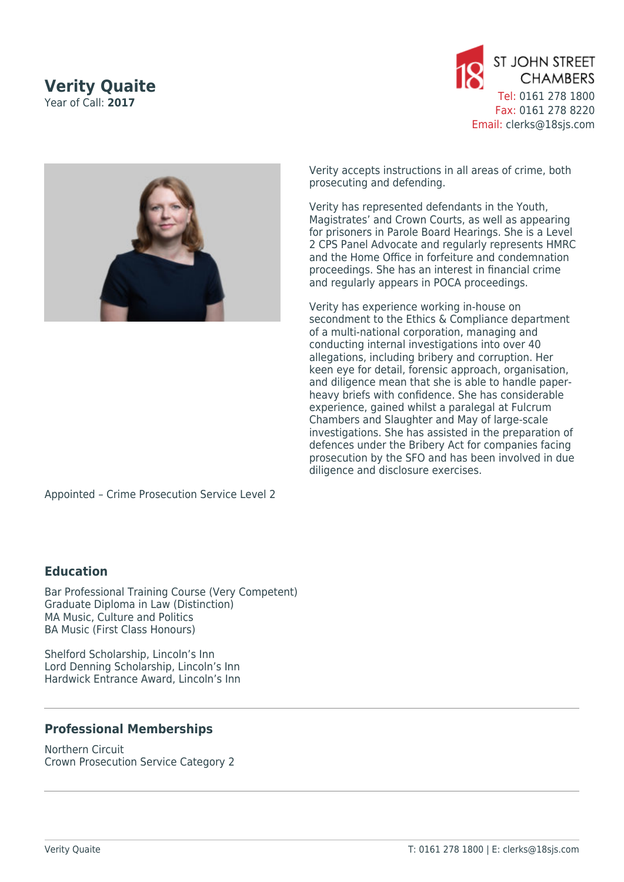## **Verity Quaite** Year of Call: **2017**





Verity accepts instructions in all areas of crime, both prosecuting and defending.

Verity has represented defendants in the Youth, Magistrates' and Crown Courts, as well as appearing for prisoners in Parole Board Hearings. She is a Level 2 CPS Panel Advocate and regularly represents HMRC and the Home Office in forfeiture and condemnation proceedings. She has an interest in financial crime and regularly appears in POCA proceedings.

Verity has experience working in-house on secondment to the Ethics & Compliance department of a multi-national corporation, managing and conducting internal investigations into over 40 allegations, including bribery and corruption. Her keen eye for detail, forensic approach, organisation, and diligence mean that she is able to handle paperheavy briefs with confidence. She has considerable experience, gained whilst a paralegal at Fulcrum Chambers and Slaughter and May of large-scale investigations. She has assisted in the preparation of defences under the Bribery Act for companies facing prosecution by the SFO and has been involved in due diligence and disclosure exercises.

Appointed – Crime Prosecution Service Level 2

## **Education**

Bar Professional Training Course (Very Competent) Graduate Diploma in Law (Distinction) MA Music, Culture and Politics BA Music (First Class Honours)

Shelford Scholarship, Lincoln's Inn Lord Denning Scholarship, Lincoln's Inn Hardwick Entrance Award, Lincoln's Inn

## **Professional Memberships**

Northern Circuit Crown Prosecution Service Category 2